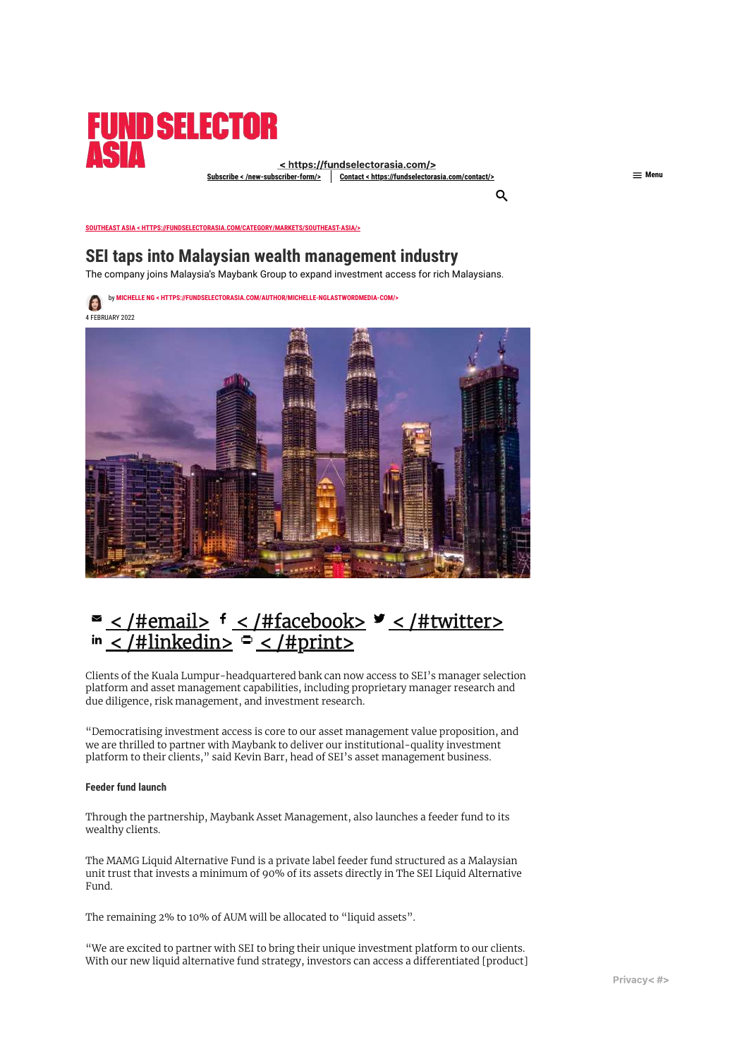

<https://fundselectorasia.com/>  $\leq$  [/new-subscriber-form/>](https://fundselectorasia.com/new-subscriber-form/) **Contact** < [https://fundselectorasia.com/contact/>](https://fundselectorasia.com/contact/) **Menu Example 1** 

Q

**SOUTHEAST ASIA < [HTTPS://FUNDSELECTORASIA.COM/CATEGORY/MARKETS/SOUTHEAST-ASIA/>](https://fundselectorasia.com/category/markets/southeast-asia/)**

## **SEI taps into Malaysian wealth management industry**

The company joins Malaysia's Maybank Group to expand investment access for rich Malaysians.

by **MICHELLE NG < [HTTPS://FUNDSELECTORASIA.COM/AUTHOR/MICHELLE-NGLASTWORDMEDIA-COM/>](https://fundselectorasia.com/author/michelle-nglastwordmedia-com/)**  $\bullet$ 

4 FEBRUARY 2022



# < [/#email>](https://fundselectorasia.com/#email) < [/#facebook>](https://fundselectorasia.com/#facebook) < [/#twitter>](https://fundselectorasia.com/#twitter) < [/#linkedin>](https://fundselectorasia.com/#linkedin) < [/#print>](https://fundselectorasia.com/#print)

Clients of the Kuala Lumpur-headquartered bank can now access to SEI's manager selection platform and asset management capabilities, including proprietary manager research and due diligence, risk management, and investment research.

"Democratising investment access is core to our asset management value proposition, and we are thrilled to partner with Maybank to deliver our institutional-quality investment platform to their clients," said Kevin Barr, head of SEI's asset management business.

#### **Feeder fund launch**

Through the partnership, Maybank Asset Management, also launches a feeder fund to its wealthy clients.

The MAMG Liquid Alternative Fund is a private label feeder fund structured as a Malaysian unit trust that invests a minimum of 90% of its assets directly in The SEI Liquid Alternative Fund.

The remaining 2% to 10% of AUM will be allocated to "liquid assets".

"We are excited to partner with SEI to bring their unique investment platform to our clients. With our new liquid alternative fund strategy, investors can access a differentiated [product]